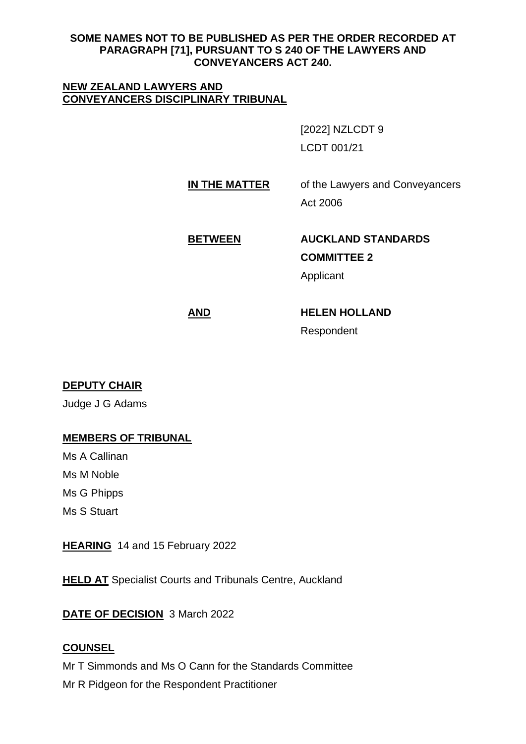#### **SOME NAMES NOT TO BE PUBLISHED AS PER THE ORDER RECORDED AT PARAGRAPH [71], PURSUANT TO S 240 OF THE LAWYERS AND CONVEYANCERS ACT 240.**

#### **NEW ZEALAND LAWYERS AND CONVEYANCERS DISCIPLINARY TRIBUNAL**

[2022] NZLCDT 9 LCDT 001/21

# **IN THE MATTER** of the Lawyers and Conveyancers Act 2006

# **BETWEEN AUCKLAND STANDARDS COMMITTEE 2**

Applicant

# **AND HELEN HOLLAND** Respondent

**DEPUTY CHAIR**

Judge J G Adams

## **MEMBERS OF TRIBUNAL**

Ms A Callinan Ms M Noble Ms G Phipps Ms S Stuart

**HEARING** 14 and 15 February 2022

**HELD AT** Specialist Courts and Tribunals Centre, Auckland

**DATE OF DECISION** 3 March 2022

## **COUNSEL**

Mr T Simmonds and Ms O Cann for the Standards Committee Mr R Pidgeon for the Respondent Practitioner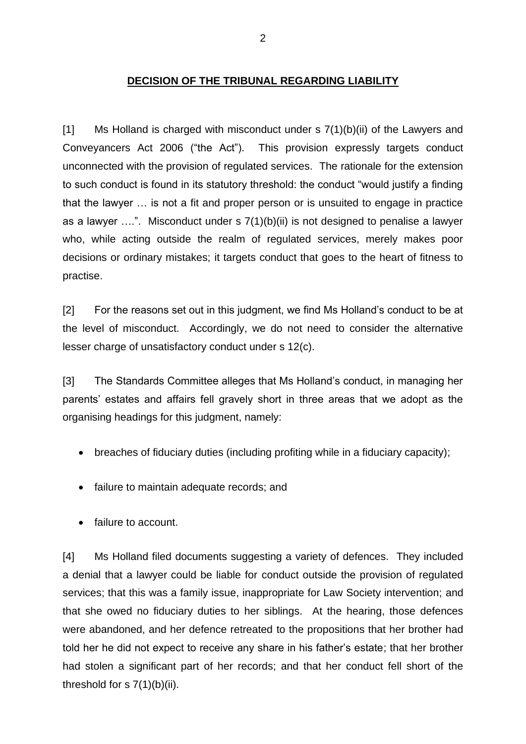## **DECISION OF THE TRIBUNAL REGARDING LIABILITY**

[1] Ms Holland is charged with misconduct under s 7(1)(b)(ii) of the Lawyers and Conveyancers Act 2006 ("the Act"). This provision expressly targets conduct unconnected with the provision of regulated services. The rationale for the extension to such conduct is found in its statutory threshold: the conduct "would justify a finding that the lawyer … is not a fit and proper person or is unsuited to engage in practice as a lawyer ….". Misconduct under s 7(1)(b)(ii) is not designed to penalise a lawyer who, while acting outside the realm of regulated services, merely makes poor decisions or ordinary mistakes; it targets conduct that goes to the heart of fitness to practise.

[2] For the reasons set out in this judgment, we find Ms Holland's conduct to be at the level of misconduct. Accordingly, we do not need to consider the alternative lesser charge of unsatisfactory conduct under s 12(c).

[3] The Standards Committee alleges that Ms Holland's conduct, in managing her parents' estates and affairs fell gravely short in three areas that we adopt as the organising headings for this judgment, namely:

- breaches of fiduciary duties (including profiting while in a fiduciary capacity);
- failure to maintain adequate records; and
- failure to account.

[4] Ms Holland filed documents suggesting a variety of defences. They included a denial that a lawyer could be liable for conduct outside the provision of regulated services; that this was a family issue, inappropriate for Law Society intervention; and that she owed no fiduciary duties to her siblings. At the hearing, those defences were abandoned, and her defence retreated to the propositions that her brother had told her he did not expect to receive any share in his father's estate; that her brother had stolen a significant part of her records; and that her conduct fell short of the threshold for  $s$  7(1)(b)(ii).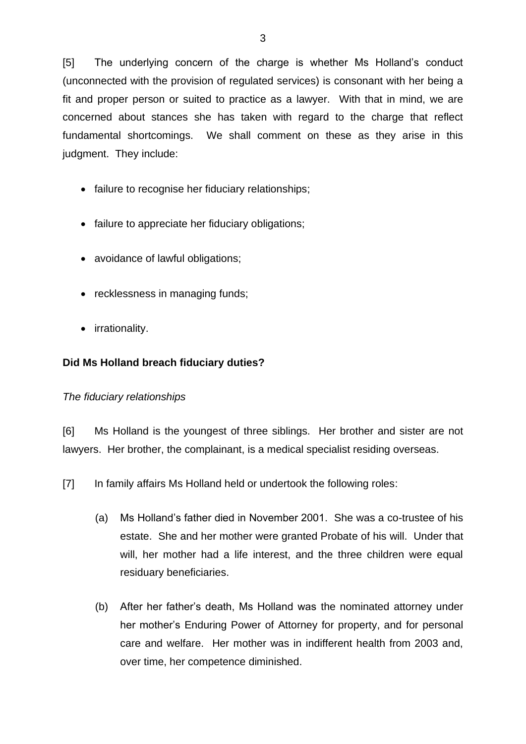[5] The underlying concern of the charge is whether Ms Holland's conduct (unconnected with the provision of regulated services) is consonant with her being a fit and proper person or suited to practice as a lawyer. With that in mind, we are concerned about stances she has taken with regard to the charge that reflect fundamental shortcomings. We shall comment on these as they arise in this judgment. They include:

- failure to recognise her fiduciary relationships;
- failure to appreciate her fiduciary obligations;
- avoidance of lawful obligations;
- recklessness in managing funds;
- irrationality.

## **Did Ms Holland breach fiduciary duties?**

#### *The fiduciary relationships*

[6] Ms Holland is the youngest of three siblings. Her brother and sister are not lawyers. Her brother, the complainant, is a medical specialist residing overseas.

[7] In family affairs Ms Holland held or undertook the following roles:

- (a) Ms Holland's father died in November 2001. She was a co-trustee of his estate. She and her mother were granted Probate of his will. Under that will, her mother had a life interest, and the three children were equal residuary beneficiaries.
- (b) After her father's death, Ms Holland was the nominated attorney under her mother's Enduring Power of Attorney for property, and for personal care and welfare. Her mother was in indifferent health from 2003 and, over time, her competence diminished.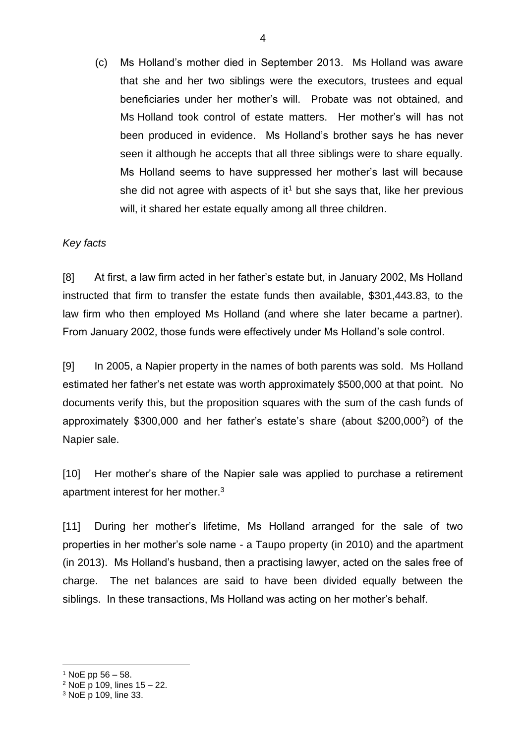(c) Ms Holland's mother died in September 2013. Ms Holland was aware that she and her two siblings were the executors, trustees and equal beneficiaries under her mother's will. Probate was not obtained, and Ms Holland took control of estate matters. Her mother's will has not been produced in evidence. Ms Holland's brother says he has never seen it although he accepts that all three siblings were to share equally. Ms Holland seems to have suppressed her mother's last will because she did not agree with aspects of it<sup>1</sup> but she says that, like her previous will, it shared her estate equally among all three children.

#### *Key facts*

[8] At first, a law firm acted in her father's estate but, in January 2002, Ms Holland instructed that firm to transfer the estate funds then available, \$301,443.83, to the law firm who then employed Ms Holland (and where she later became a partner). From January 2002, those funds were effectively under Ms Holland's sole control.

[9] In 2005, a Napier property in the names of both parents was sold. Ms Holland estimated her father's net estate was worth approximately \$500,000 at that point. No documents verify this, but the proposition squares with the sum of the cash funds of approximately \$300,000 and her father's estate's share (about \$200,000<sup>2</sup> ) of the Napier sale.

[10] Her mother's share of the Napier sale was applied to purchase a retirement apartment interest for her mother. $3$ 

[11] During her mother's lifetime, Ms Holland arranged for the sale of two properties in her mother's sole name - a Taupo property (in 2010) and the apartment (in 2013). Ms Holland's husband, then a practising lawyer, acted on the sales free of charge. The net balances are said to have been divided equally between the siblings. In these transactions, Ms Holland was acting on her mother's behalf.

 $1$  NoE pp 56 – 58.

 $2$  NoE p 109, lines  $15 - 22$ .

<sup>3</sup> NoE p 109, line 33.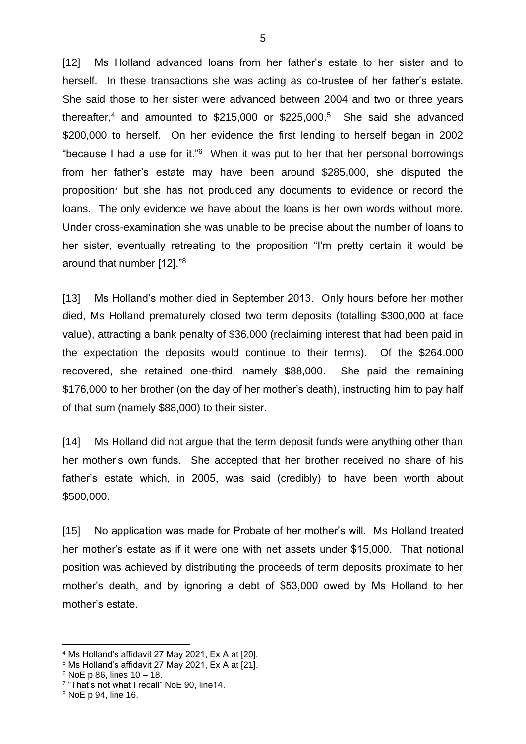[12] Ms Holland advanced loans from her father's estate to her sister and to herself. In these transactions she was acting as co-trustee of her father's estate. She said those to her sister were advanced between 2004 and two or three years thereafter,<sup>4</sup> and amounted to \$215,000 or \$225,000. 5 She said she advanced \$200,000 to herself. On her evidence the first lending to herself began in 2002 "because I had a use for it."<sup>6</sup> When it was put to her that her personal borrowings from her father's estate may have been around \$285,000, she disputed the proposition<sup>7</sup> but she has not produced any documents to evidence or record the loans. The only evidence we have about the loans is her own words without more. Under cross-examination she was unable to be precise about the number of loans to her sister, eventually retreating to the proposition "I'm pretty certain it would be around that number [12]."<sup>8</sup>

[13] Ms Holland's mother died in September 2013. Only hours before her mother died, Ms Holland prematurely closed two term deposits (totalling \$300,000 at face value), attracting a bank penalty of \$36,000 (reclaiming interest that had been paid in the expectation the deposits would continue to their terms). Of the \$264.000 recovered, she retained one-third, namely \$88,000. She paid the remaining \$176,000 to her brother (on the day of her mother's death), instructing him to pay half of that sum (namely \$88,000) to their sister.

[14] Ms Holland did not argue that the term deposit funds were anything other than her mother's own funds. She accepted that her brother received no share of his father's estate which, in 2005, was said (credibly) to have been worth about \$500,000.

[15] No application was made for Probate of her mother's will. Ms Holland treated her mother's estate as if it were one with net assets under \$15,000. That notional position was achieved by distributing the proceeds of term deposits proximate to her mother's death, and by ignoring a debt of \$53,000 owed by Ms Holland to her mother's estate.

<sup>4</sup> Ms Holland's affidavit 27 May 2021, Ex A at [20].

<sup>5</sup> Ms Holland's affidavit 27 May 2021, Ex A at [21].

 $6$  NoE p 86, lines 10 – 18.

<sup>7</sup> "That's not what I recall" NoE 90, line14.

<sup>8</sup> NoE p 94, line 16.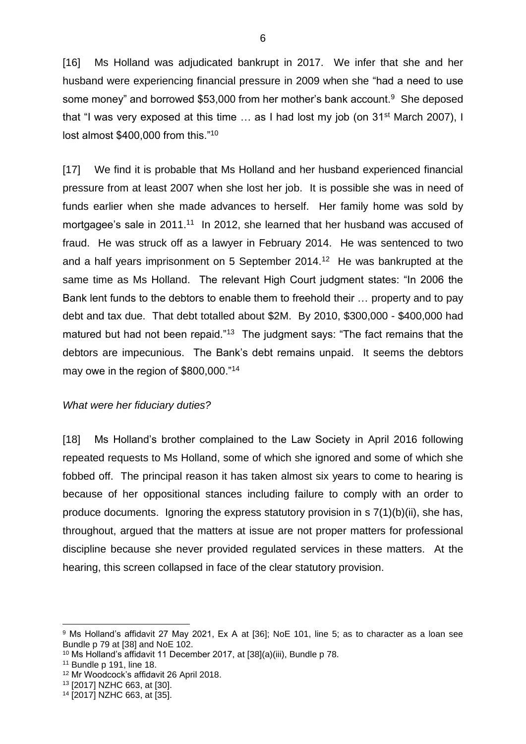[16] Ms Holland was adjudicated bankrupt in 2017. We infer that she and her husband were experiencing financial pressure in 2009 when she "had a need to use some money" and borrowed \$53,000 from her mother's bank account.<sup>9</sup> She deposed that "I was very exposed at this time ... as I had lost my job (on 31<sup>st</sup> March 2007), I lost almost \$400,000 from this."<sup>10</sup>

[17] We find it is probable that Ms Holland and her husband experienced financial pressure from at least 2007 when she lost her job. It is possible she was in need of funds earlier when she made advances to herself. Her family home was sold by mortgagee's sale in 2011.<sup>11</sup> In 2012, she learned that her husband was accused of fraud. He was struck off as a lawyer in February 2014. He was sentenced to two and a half years imprisonment on 5 September 2014.<sup>12</sup> He was bankrupted at the same time as Ms Holland. The relevant High Court judgment states: "In 2006 the Bank lent funds to the debtors to enable them to freehold their … property and to pay debt and tax due. That debt totalled about \$2M. By 2010, \$300,000 - \$400,000 had matured but had not been repaid."<sup>13</sup> The judgment says: "The fact remains that the debtors are impecunious. The Bank's debt remains unpaid. It seems the debtors may owe in the region of \$800,000."<sup>14</sup>

#### *What were her fiduciary duties?*

[18] Ms Holland's brother complained to the Law Society in April 2016 following repeated requests to Ms Holland, some of which she ignored and some of which she fobbed off. The principal reason it has taken almost six years to come to hearing is because of her oppositional stances including failure to comply with an order to produce documents. Ignoring the express statutory provision in s 7(1)(b)(ii), she has, throughout, argued that the matters at issue are not proper matters for professional discipline because she never provided regulated services in these matters. At the hearing, this screen collapsed in face of the clear statutory provision.

<sup>9</sup> Ms Holland's affidavit 27 May 2021, Ex A at [36]; NoE 101, line 5; as to character as a loan see Bundle p 79 at [38] and NoE 102.

<sup>10</sup> Ms Holland's affidavit 11 December 2017, at [38](a)(iii), Bundle p 78.

<sup>11</sup> Bundle p 191, line 18.

<sup>12</sup> Mr Woodcock's affidavit 26 April 2018.

<sup>13</sup> [2017] NZHC 663, at [30].

<sup>14</sup> [2017] NZHC 663, at [35].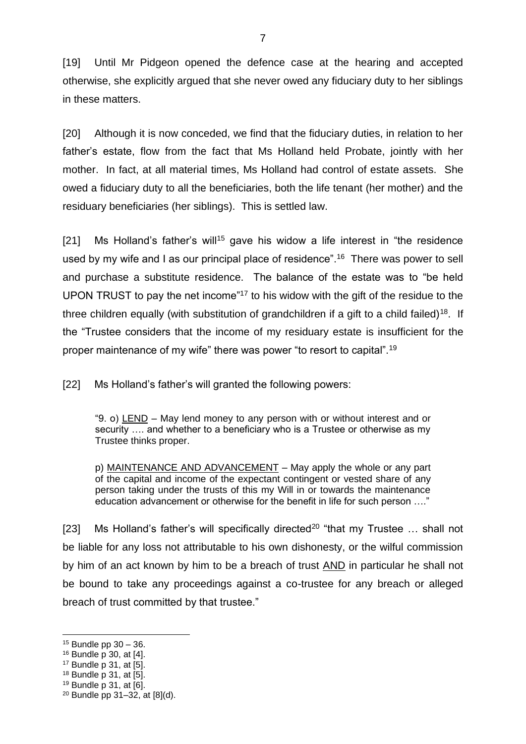[19] Until Mr Pidgeon opened the defence case at the hearing and accepted otherwise, she explicitly argued that she never owed any fiduciary duty to her siblings in these matters.

[20] Although it is now conceded, we find that the fiduciary duties, in relation to her father's estate, flow from the fact that Ms Holland held Probate, jointly with her mother. In fact, at all material times, Ms Holland had control of estate assets. She owed a fiduciary duty to all the beneficiaries, both the life tenant (her mother) and the residuary beneficiaries (her siblings). This is settled law.

[21] Ms Holland's father's will<sup>15</sup> gave his widow a life interest in "the residence" used by my wife and I as our principal place of residence".<sup>16</sup> There was power to sell and purchase a substitute residence. The balance of the estate was to "be held UPON TRUST to pay the net income"<sup>17</sup> to his widow with the gift of the residue to the three children equally (with substitution of grandchildren if a gift to a child failed)<sup>18</sup>. If the "Trustee considers that the income of my residuary estate is insufficient for the proper maintenance of my wife" there was power "to resort to capital".<sup>19</sup>

[22] Ms Holland's father's will granted the following powers:

"9. o) LEND – May lend money to any person with or without interest and or security …. and whether to a beneficiary who is a Trustee or otherwise as my Trustee thinks proper.

p) MAINTENANCE AND ADVANCEMENT – May apply the whole or any part of the capital and income of the expectant contingent or vested share of any person taking under the trusts of this my Will in or towards the maintenance education advancement or otherwise for the benefit in life for such person …."

[23] Ms Holland's father's will specifically directed<sup>20</sup> "that my Trustee  $\ldots$  shall not be liable for any loss not attributable to his own dishonesty, or the wilful commission by him of an act known by him to be a breach of trust AND in particular he shall not be bound to take any proceedings against a co-trustee for any breach or alleged breach of trust committed by that trustee."

 $15$  Bundle pp  $30 - 36$ .

<sup>16</sup> Bundle p 30, at [4].

<sup>17</sup> Bundle p 31, at [5].

<sup>18</sup> Bundle p 31, at [5].

<sup>19</sup> Bundle p 31, at [6].

<sup>20</sup> Bundle pp 31–32, at [8](d).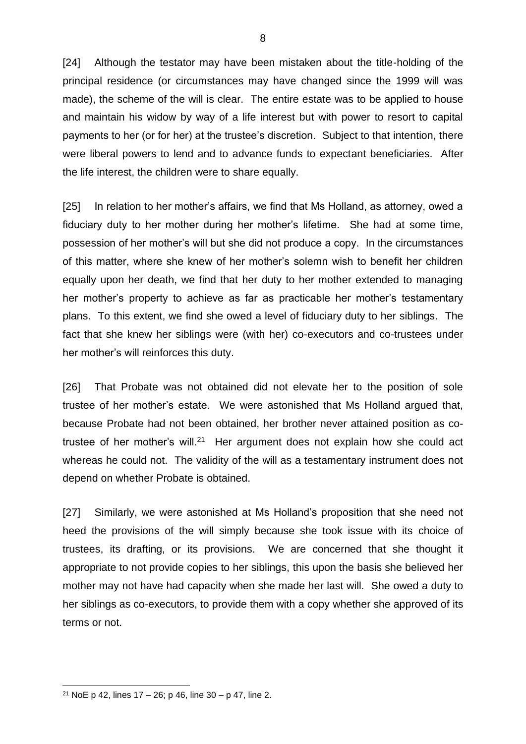[24] Although the testator may have been mistaken about the title-holding of the principal residence (or circumstances may have changed since the 1999 will was made), the scheme of the will is clear. The entire estate was to be applied to house and maintain his widow by way of a life interest but with power to resort to capital payments to her (or for her) at the trustee's discretion. Subject to that intention, there were liberal powers to lend and to advance funds to expectant beneficiaries. After the life interest, the children were to share equally.

[25] In relation to her mother's affairs, we find that Ms Holland, as attorney, owed a fiduciary duty to her mother during her mother's lifetime. She had at some time, possession of her mother's will but she did not produce a copy. In the circumstances of this matter, where she knew of her mother's solemn wish to benefit her children equally upon her death, we find that her duty to her mother extended to managing her mother's property to achieve as far as practicable her mother's testamentary plans. To this extent, we find she owed a level of fiduciary duty to her siblings. The fact that she knew her siblings were (with her) co-executors and co-trustees under her mother's will reinforces this duty.

[26] That Probate was not obtained did not elevate her to the position of sole trustee of her mother's estate. We were astonished that Ms Holland argued that, because Probate had not been obtained, her brother never attained position as cotrustee of her mother's will.<sup>21</sup> Her argument does not explain how she could act whereas he could not. The validity of the will as a testamentary instrument does not depend on whether Probate is obtained.

[27] Similarly, we were astonished at Ms Holland's proposition that she need not heed the provisions of the will simply because she took issue with its choice of trustees, its drafting, or its provisions. We are concerned that she thought it appropriate to not provide copies to her siblings, this upon the basis she believed her mother may not have had capacity when she made her last will. She owed a duty to her siblings as co-executors, to provide them with a copy whether she approved of its terms or not.

<sup>&</sup>lt;sup>21</sup> NoE p 42, lines  $17 - 26$ ; p 46, line  $30 - p$  47, line 2.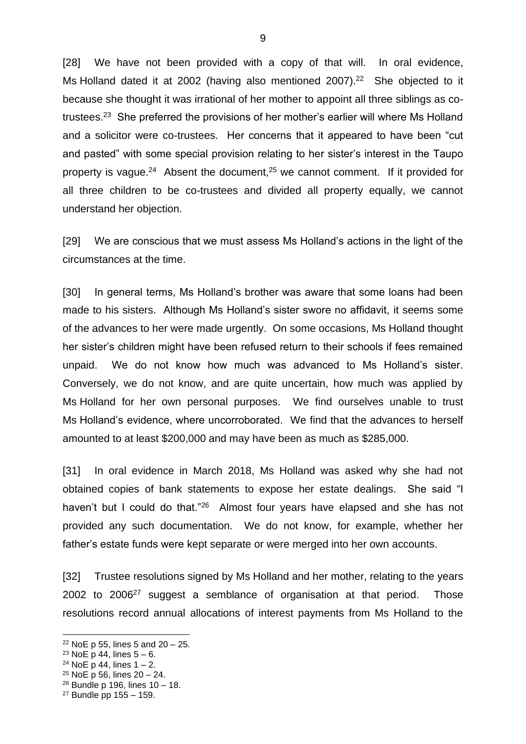[28] We have not been provided with a copy of that will. In oral evidence, Ms Holland dated it at 2002 (having also mentioned 2007).<sup>22</sup> She objected to it because she thought it was irrational of her mother to appoint all three siblings as cotrustees.<sup>23</sup> She preferred the provisions of her mother's earlier will where Ms Holland and a solicitor were co-trustees. Her concerns that it appeared to have been "cut and pasted" with some special provision relating to her sister's interest in the Taupo property is vague.<sup>24</sup> Absent the document,<sup>25</sup> we cannot comment. If it provided for all three children to be co-trustees and divided all property equally, we cannot understand her objection.

[29] We are conscious that we must assess Ms Holland's actions in the light of the circumstances at the time.

[30] In general terms, Ms Holland's brother was aware that some loans had been made to his sisters. Although Ms Holland's sister swore no affidavit, it seems some of the advances to her were made urgently. On some occasions, Ms Holland thought her sister's children might have been refused return to their schools if fees remained unpaid. We do not know how much was advanced to Ms Holland's sister. Conversely, we do not know, and are quite uncertain, how much was applied by Ms Holland for her own personal purposes. We find ourselves unable to trust Ms Holland's evidence, where uncorroborated. We find that the advances to herself amounted to at least \$200,000 and may have been as much as \$285,000.

[31] In oral evidence in March 2018, Ms Holland was asked why she had not obtained copies of bank statements to expose her estate dealings. She said "I haven't but I could do that."<sup>26</sup> Almost four years have elapsed and she has not provided any such documentation. We do not know, for example, whether her father's estate funds were kept separate or were merged into her own accounts.

[32] Trustee resolutions signed by Ms Holland and her mother, relating to the years 2002 to 2006<sup>27</sup> suggest a semblance of organisation at that period. Those resolutions record annual allocations of interest payments from Ms Holland to the

 $22$  NoE p 55, lines 5 and 20 – 25.

 $23$  NoE p 44, lines  $5 - 6$ .

<sup>&</sup>lt;sup>24</sup> NoE p 44, lines  $1 - 2$ .

<sup>25</sup> NoE p 56, lines 20 – 24.

 $26$  Bundle p 196, lines  $10 - 18$ .

 $27$  Bundle pp  $155 - 159$ .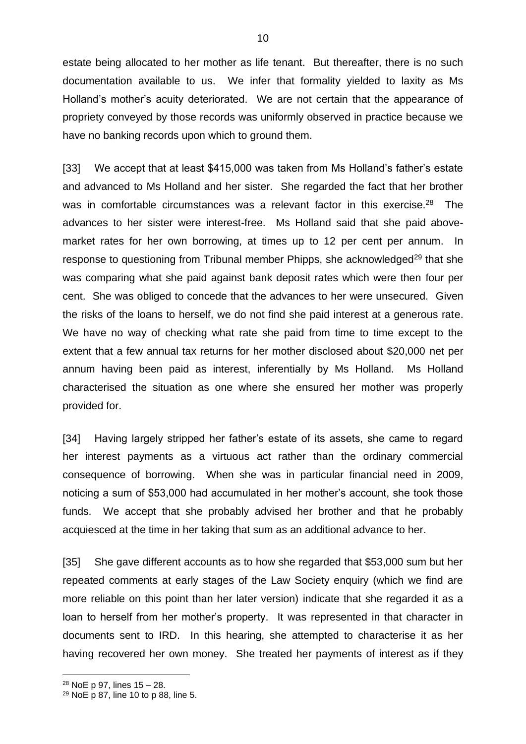estate being allocated to her mother as life tenant. But thereafter, there is no such documentation available to us. We infer that formality yielded to laxity as Ms Holland's mother's acuity deteriorated. We are not certain that the appearance of propriety conveyed by those records was uniformly observed in practice because we have no banking records upon which to ground them.

[33] We accept that at least \$415,000 was taken from Ms Holland's father's estate and advanced to Ms Holland and her sister. She regarded the fact that her brother was in comfortable circumstances was a relevant factor in this exercise.<sup>28</sup> The advances to her sister were interest-free. Ms Holland said that she paid abovemarket rates for her own borrowing, at times up to 12 per cent per annum. In response to questioning from Tribunal member Phipps, she acknowledged<sup>29</sup> that she was comparing what she paid against bank deposit rates which were then four per cent. She was obliged to concede that the advances to her were unsecured. Given the risks of the loans to herself, we do not find she paid interest at a generous rate. We have no way of checking what rate she paid from time to time except to the extent that a few annual tax returns for her mother disclosed about \$20,000 net per annum having been paid as interest, inferentially by Ms Holland. Ms Holland characterised the situation as one where she ensured her mother was properly provided for.

[34] Having largely stripped her father's estate of its assets, she came to regard her interest payments as a virtuous act rather than the ordinary commercial consequence of borrowing. When she was in particular financial need in 2009, noticing a sum of \$53,000 had accumulated in her mother's account, she took those funds. We accept that she probably advised her brother and that he probably acquiesced at the time in her taking that sum as an additional advance to her.

[35] She gave different accounts as to how she regarded that \$53,000 sum but her repeated comments at early stages of the Law Society enquiry (which we find are more reliable on this point than her later version) indicate that she regarded it as a loan to herself from her mother's property. It was represented in that character in documents sent to IRD. In this hearing, she attempted to characterise it as her having recovered her own money. She treated her payments of interest as if they

<sup>28</sup> NoE p 97, lines 15 – 28.

<sup>29</sup> NoE p 87, line 10 to p 88, line 5.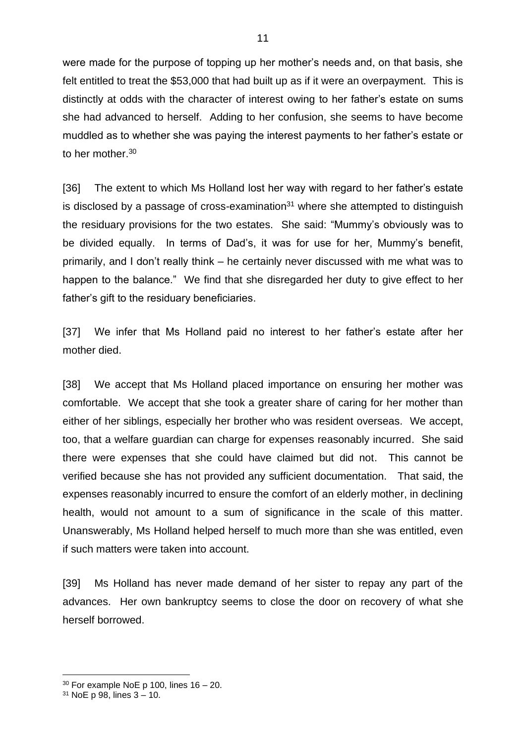were made for the purpose of topping up her mother's needs and, on that basis, she felt entitled to treat the \$53,000 that had built up as if it were an overpayment. This is distinctly at odds with the character of interest owing to her father's estate on sums she had advanced to herself. Adding to her confusion, she seems to have become muddled as to whether she was paying the interest payments to her father's estate or to her mother.<sup>30</sup>

[36] The extent to which Ms Holland lost her way with regard to her father's estate is disclosed by a passage of cross-examination $31$  where she attempted to distinguish the residuary provisions for the two estates. She said: "Mummy's obviously was to be divided equally. In terms of Dad's, it was for use for her, Mummy's benefit, primarily, and I don't really think – he certainly never discussed with me what was to happen to the balance." We find that she disregarded her duty to give effect to her father's gift to the residuary beneficiaries.

[37] We infer that Ms Holland paid no interest to her father's estate after her mother died.

[38] We accept that Ms Holland placed importance on ensuring her mother was comfortable. We accept that she took a greater share of caring for her mother than either of her siblings, especially her brother who was resident overseas. We accept, too, that a welfare guardian can charge for expenses reasonably incurred. She said there were expenses that she could have claimed but did not. This cannot be verified because she has not provided any sufficient documentation. That said, the expenses reasonably incurred to ensure the comfort of an elderly mother, in declining health, would not amount to a sum of significance in the scale of this matter. Unanswerably, Ms Holland helped herself to much more than she was entitled, even if such matters were taken into account.

[39] Ms Holland has never made demand of her sister to repay any part of the advances. Her own bankruptcy seems to close the door on recovery of what she herself borrowed.

 $30$  For example NoE p 100, lines 16 – 20.

 $31$  NoE p 98, lines  $3 - 10$ .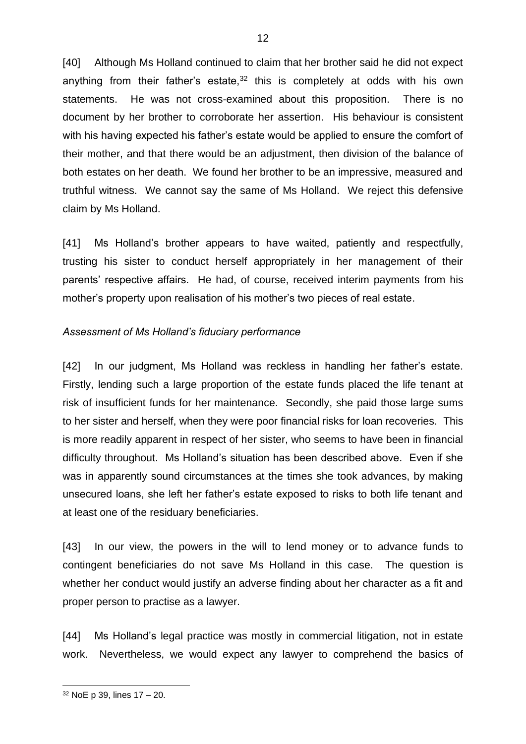[40] Although Ms Holland continued to claim that her brother said he did not expect anything from their father's estate, $32$  this is completely at odds with his own statements. He was not cross-examined about this proposition. There is no document by her brother to corroborate her assertion. His behaviour is consistent with his having expected his father's estate would be applied to ensure the comfort of their mother, and that there would be an adjustment, then division of the balance of both estates on her death. We found her brother to be an impressive, measured and truthful witness. We cannot say the same of Ms Holland. We reject this defensive claim by Ms Holland.

[41] Ms Holland's brother appears to have waited, patiently and respectfully, trusting his sister to conduct herself appropriately in her management of their parents' respective affairs. He had, of course, received interim payments from his mother's property upon realisation of his mother's two pieces of real estate.

#### *Assessment of Ms Holland's fiduciary performance*

[42] In our judgment, Ms Holland was reckless in handling her father's estate. Firstly, lending such a large proportion of the estate funds placed the life tenant at risk of insufficient funds for her maintenance. Secondly, she paid those large sums to her sister and herself, when they were poor financial risks for loan recoveries. This is more readily apparent in respect of her sister, who seems to have been in financial difficulty throughout. Ms Holland's situation has been described above. Even if she was in apparently sound circumstances at the times she took advances, by making unsecured loans, she left her father's estate exposed to risks to both life tenant and at least one of the residuary beneficiaries.

[43] In our view, the powers in the will to lend money or to advance funds to contingent beneficiaries do not save Ms Holland in this case. The question is whether her conduct would justify an adverse finding about her character as a fit and proper person to practise as a lawyer.

[44] Ms Holland's legal practice was mostly in commercial litigation, not in estate work. Nevertheless, we would expect any lawyer to comprehend the basics of

<sup>32</sup> NoE p 39, lines 17 – 20.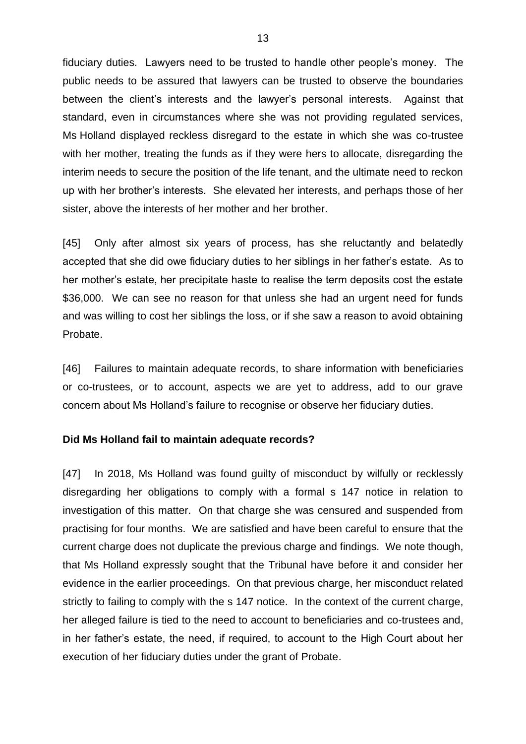fiduciary duties. Lawyers need to be trusted to handle other people's money. The public needs to be assured that lawyers can be trusted to observe the boundaries between the client's interests and the lawyer's personal interests. Against that standard, even in circumstances where she was not providing regulated services, Ms Holland displayed reckless disregard to the estate in which she was co-trustee with her mother, treating the funds as if they were hers to allocate, disregarding the interim needs to secure the position of the life tenant, and the ultimate need to reckon up with her brother's interests. She elevated her interests, and perhaps those of her sister, above the interests of her mother and her brother.

[45] Only after almost six years of process, has she reluctantly and belatedly accepted that she did owe fiduciary duties to her siblings in her father's estate. As to her mother's estate, her precipitate haste to realise the term deposits cost the estate \$36,000. We can see no reason for that unless she had an urgent need for funds and was willing to cost her siblings the loss, or if she saw a reason to avoid obtaining Probate.

[46] Failures to maintain adequate records, to share information with beneficiaries or co-trustees, or to account, aspects we are yet to address, add to our grave concern about Ms Holland's failure to recognise or observe her fiduciary duties.

#### **Did Ms Holland fail to maintain adequate records?**

[47] In 2018, Ms Holland was found guilty of misconduct by wilfully or recklessly disregarding her obligations to comply with a formal s 147 notice in relation to investigation of this matter. On that charge she was censured and suspended from practising for four months. We are satisfied and have been careful to ensure that the current charge does not duplicate the previous charge and findings. We note though, that Ms Holland expressly sought that the Tribunal have before it and consider her evidence in the earlier proceedings. On that previous charge, her misconduct related strictly to failing to comply with the s 147 notice. In the context of the current charge, her alleged failure is tied to the need to account to beneficiaries and co-trustees and, in her father's estate, the need, if required, to account to the High Court about her execution of her fiduciary duties under the grant of Probate.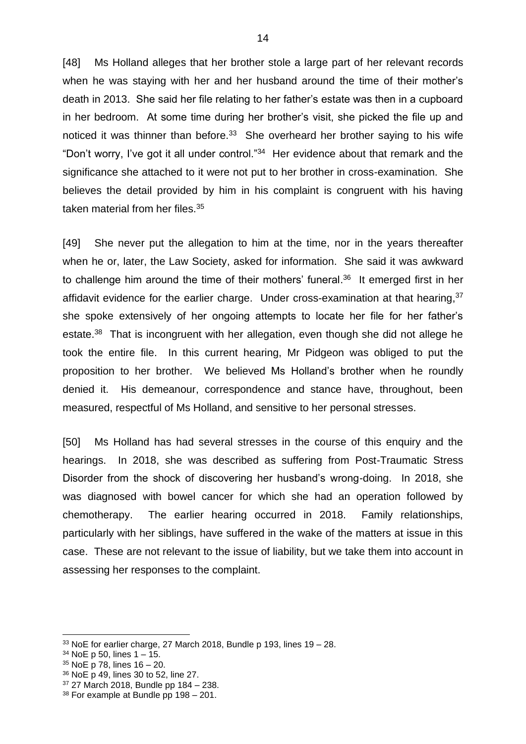[48] Ms Holland alleges that her brother stole a large part of her relevant records when he was staying with her and her husband around the time of their mother's death in 2013. She said her file relating to her father's estate was then in a cupboard in her bedroom. At some time during her brother's visit, she picked the file up and noticed it was thinner than before.<sup>33</sup> She overheard her brother saying to his wife "Don't worry, I've got it all under control."<sup>34</sup> Her evidence about that remark and the significance she attached to it were not put to her brother in cross-examination. She believes the detail provided by him in his complaint is congruent with his having taken material from her files.<sup>35</sup>

[49] She never put the allegation to him at the time, nor in the years thereafter when he or, later, the Law Society, asked for information. She said it was awkward to challenge him around the time of their mothers' funeral. 36 It emerged first in her affidavit evidence for the earlier charge. Under cross-examination at that hearing,<sup>37</sup> she spoke extensively of her ongoing attempts to locate her file for her father's estate.<sup>38</sup> That is incongruent with her allegation, even though she did not allege he took the entire file. In this current hearing, Mr Pidgeon was obliged to put the proposition to her brother. We believed Ms Holland's brother when he roundly denied it. His demeanour, correspondence and stance have, throughout, been measured, respectful of Ms Holland, and sensitive to her personal stresses.

[50] Ms Holland has had several stresses in the course of this enquiry and the hearings. In 2018, she was described as suffering from Post-Traumatic Stress Disorder from the shock of discovering her husband's wrong-doing. In 2018, she was diagnosed with bowel cancer for which she had an operation followed by chemotherapy. The earlier hearing occurred in 2018. Family relationships, particularly with her siblings, have suffered in the wake of the matters at issue in this case. These are not relevant to the issue of liability, but we take them into account in assessing her responses to the complaint.

<sup>36</sup> NoE p 49, lines 30 to 52, line 27.

 $33$  NoE for earlier charge, 27 March 2018, Bundle p 193, lines 19 – 28.

 $34$  NoE p 50, lines 1 – 15.

<sup>35</sup> NoE p 78, lines 16 – 20.

<sup>37</sup> 27 March 2018, Bundle pp 184 – 238.

<sup>38</sup> For example at Bundle pp 198 – 201.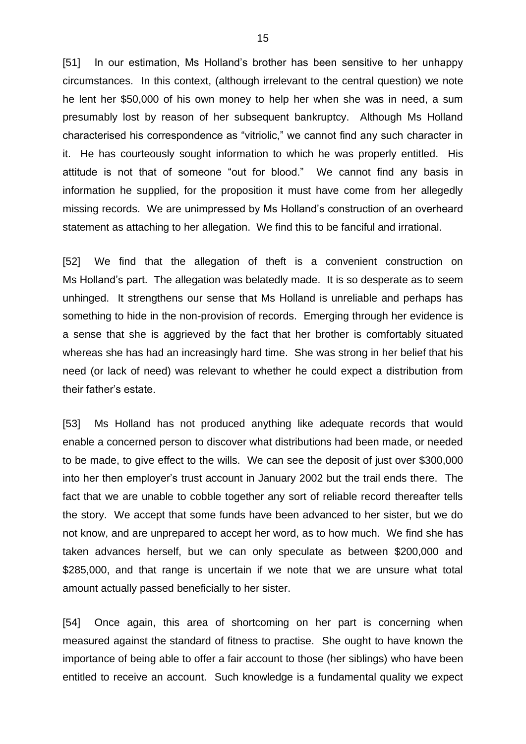[51] In our estimation, Ms Holland's brother has been sensitive to her unhappy circumstances. In this context, (although irrelevant to the central question) we note he lent her \$50,000 of his own money to help her when she was in need, a sum presumably lost by reason of her subsequent bankruptcy. Although Ms Holland characterised his correspondence as "vitriolic," we cannot find any such character in it. He has courteously sought information to which he was properly entitled. His attitude is not that of someone "out for blood." We cannot find any basis in information he supplied, for the proposition it must have come from her allegedly missing records. We are unimpressed by Ms Holland's construction of an overheard statement as attaching to her allegation. We find this to be fanciful and irrational.

[52] We find that the allegation of theft is a convenient construction on Ms Holland's part. The allegation was belatedly made. It is so desperate as to seem unhinged. It strengthens our sense that Ms Holland is unreliable and perhaps has something to hide in the non-provision of records. Emerging through her evidence is a sense that she is aggrieved by the fact that her brother is comfortably situated whereas she has had an increasingly hard time. She was strong in her belief that his need (or lack of need) was relevant to whether he could expect a distribution from their father's estate.

[53] Ms Holland has not produced anything like adequate records that would enable a concerned person to discover what distributions had been made, or needed to be made, to give effect to the wills. We can see the deposit of just over \$300,000 into her then employer's trust account in January 2002 but the trail ends there. The fact that we are unable to cobble together any sort of reliable record thereafter tells the story. We accept that some funds have been advanced to her sister, but we do not know, and are unprepared to accept her word, as to how much. We find she has taken advances herself, but we can only speculate as between \$200,000 and \$285,000, and that range is uncertain if we note that we are unsure what total amount actually passed beneficially to her sister.

[54] Once again, this area of shortcoming on her part is concerning when measured against the standard of fitness to practise. She ought to have known the importance of being able to offer a fair account to those (her siblings) who have been entitled to receive an account. Such knowledge is a fundamental quality we expect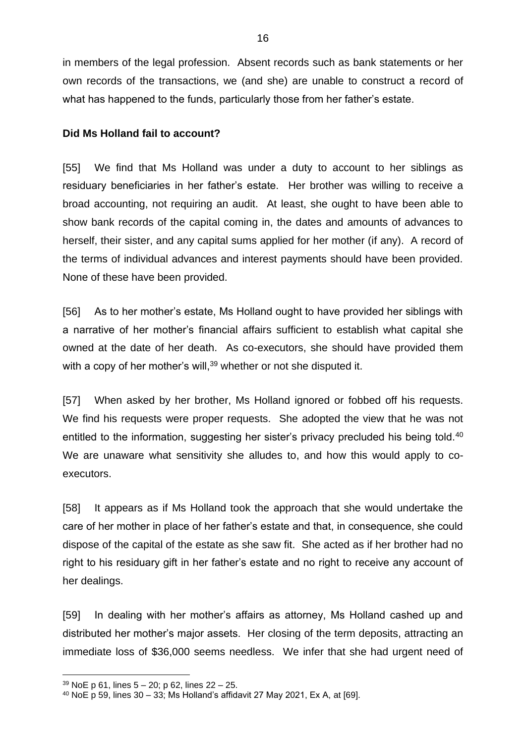in members of the legal profession. Absent records such as bank statements or her own records of the transactions, we (and she) are unable to construct a record of what has happened to the funds, particularly those from her father's estate.

#### **Did Ms Holland fail to account?**

[55] We find that Ms Holland was under a duty to account to her siblings as residuary beneficiaries in her father's estate. Her brother was willing to receive a broad accounting, not requiring an audit. At least, she ought to have been able to show bank records of the capital coming in, the dates and amounts of advances to herself, their sister, and any capital sums applied for her mother (if any). A record of the terms of individual advances and interest payments should have been provided. None of these have been provided.

[56] As to her mother's estate, Ms Holland ought to have provided her siblings with a narrative of her mother's financial affairs sufficient to establish what capital she owned at the date of her death. As co-executors, she should have provided them with a copy of her mother's will,<sup>39</sup> whether or not she disputed it.

[57] When asked by her brother, Ms Holland ignored or fobbed off his requests. We find his requests were proper requests. She adopted the view that he was not entitled to the information, suggesting her sister's privacy precluded his being told.<sup>40</sup> We are unaware what sensitivity she alludes to, and how this would apply to coexecutors.

[58] It appears as if Ms Holland took the approach that she would undertake the care of her mother in place of her father's estate and that, in consequence, she could dispose of the capital of the estate as she saw fit. She acted as if her brother had no right to his residuary gift in her father's estate and no right to receive any account of her dealings.

[59] In dealing with her mother's affairs as attorney, Ms Holland cashed up and distributed her mother's major assets. Her closing of the term deposits, attracting an immediate loss of \$36,000 seems needless. We infer that she had urgent need of

<sup>39</sup> NoE p 61, lines 5 – 20; p 62, lines 22 – 25.

<sup>40</sup> NoE p 59, lines 30 – 33; Ms Holland's affidavit 27 May 2021, Ex A, at [69].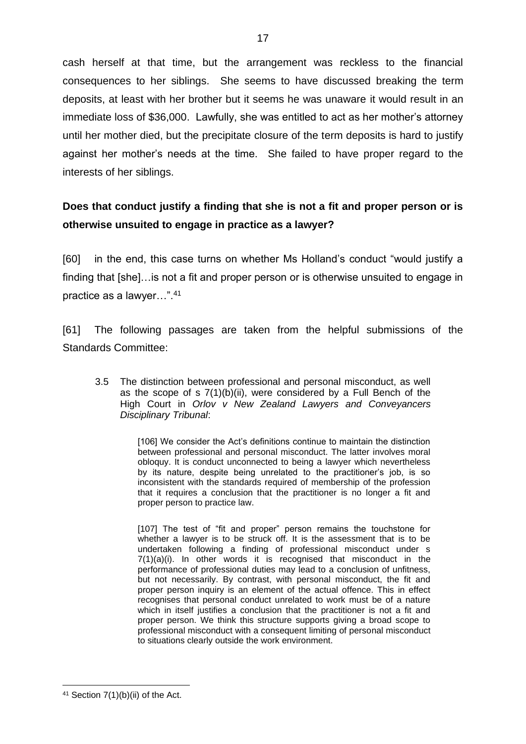cash herself at that time, but the arrangement was reckless to the financial consequences to her siblings. She seems to have discussed breaking the term deposits, at least with her brother but it seems he was unaware it would result in an immediate loss of \$36,000. Lawfully, she was entitled to act as her mother's attorney until her mother died, but the precipitate closure of the term deposits is hard to justify against her mother's needs at the time. She failed to have proper regard to the interests of her siblings.

# **Does that conduct justify a finding that she is not a fit and proper person or is otherwise unsuited to engage in practice as a lawyer?**

[60] in the end, this case turns on whether Ms Holland's conduct "would justify a finding that [she]…is not a fit and proper person or is otherwise unsuited to engage in practice as a lawyer…".<sup>41</sup>

[61] The following passages are taken from the helpful submissions of the Standards Committee:

3.5 The distinction between professional and personal misconduct, as well as the scope of s 7(1)(b)(ii), were considered by a Full Bench of the High Court in *Orlov v New Zealand Lawyers and Conveyancers Disciplinary Tribunal*:

> [106] We consider the Act's definitions continue to maintain the distinction between professional and personal misconduct. The latter involves moral obloquy. It is conduct unconnected to being a lawyer which nevertheless by its nature, despite being unrelated to the practitioner's job, is so inconsistent with the standards required of membership of the profession that it requires a conclusion that the practitioner is no longer a fit and proper person to practice law.

> [107] The test of "fit and proper" person remains the touchstone for whether a lawyer is to be struck off. It is the assessment that is to be undertaken following a finding of professional misconduct under s 7(1)(a)(i). In other words it is recognised that misconduct in the performance of professional duties may lead to a conclusion of unfitness, but not necessarily. By contrast, with personal misconduct, the fit and proper person inquiry is an element of the actual offence. This in effect recognises that personal conduct unrelated to work must be of a nature which in itself justifies a conclusion that the practitioner is not a fit and proper person. We think this structure supports giving a broad scope to professional misconduct with a consequent limiting of personal misconduct to situations clearly outside the work environment.

 $41$  Section 7(1)(b)(ii) of the Act.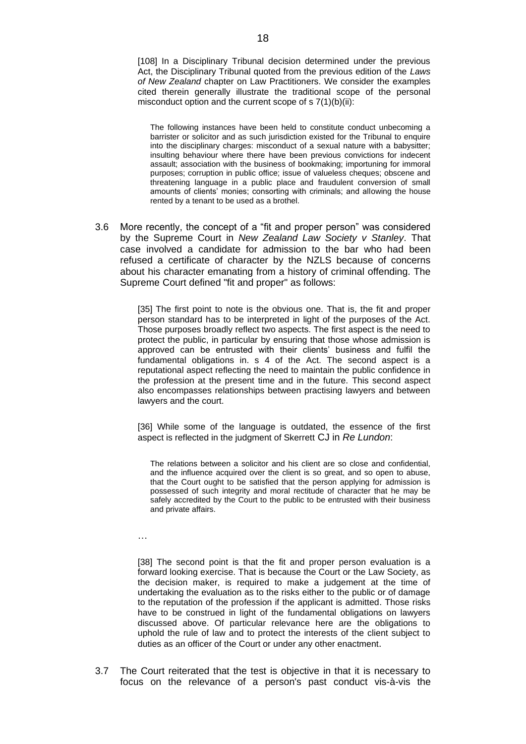[108] In a Disciplinary Tribunal decision determined under the previous Act, the Disciplinary Tribunal quoted from the previous edition of the *Laws of New Zealand* chapter on Law Practitioners. We consider the examples cited therein generally illustrate the traditional scope of the personal misconduct option and the current scope of  $s \, 7(1)(b)(ii)$ :

The following instances have been held to constitute conduct unbecoming a barrister or solicitor and as such jurisdiction existed for the Tribunal to enquire into the disciplinary charges: misconduct of a sexual nature with a babysitter; insulting behaviour where there have been previous convictions for indecent assault; association with the business of bookmaking; importuning for immoral purposes; corruption in public office; issue of valueless cheques; obscene and threatening language in a public place and fraudulent conversion of small amounts of clients' monies; consorting with criminals; and allowing the house rented by a tenant to be used as a brothel.

3.6 More recently, the concept of a "fit and proper person" was considered by the Supreme Court in *New Zealand Law Society v Stanley*. That case involved a candidate for admission to the bar who had been refused a certificate of character by the NZLS because of concerns about his character emanating from a history of criminal offending. The Supreme Court defined "fit and proper" as follows:

> [35] The first point to note is the obvious one. That is, the fit and proper person standard has to be interpreted in light of the purposes of the Act. Those purposes broadly reflect two aspects. The first aspect is the need to protect the public, in particular by ensuring that those whose admission is approved can be entrusted with their clients' business and fulfil the fundamental obligations in. s 4 of the Act. The second aspect is a reputational aspect reflecting the need to maintain the public confidence in the profession at the present time and in the future. This second aspect also encompasses relationships between practising lawyers and between lawyers and the court.

> [36] While some of the language is outdated, the essence of the first aspect is reflected in the judgment of Skerrett CJ in *Re Lundon*:

The relations between a solicitor and his client are so close and confidential, and the influence acquired over the client is so great, and so open to abuse, that the Court ought to be satisfied that the person applying for admission is possessed of such integrity and moral rectitude of character that he may be safely accredited by the Court to the public to be entrusted with their business and private affairs.

…

[38] The second point is that the fit and proper person evaluation is a forward looking exercise. That is because the Court or the Law Society, as the decision maker, is required to make a judgement at the time of undertaking the evaluation as to the risks either to the public or of damage to the reputation of the profession if the applicant is admitted. Those risks have to be construed in light of the fundamental obligations on lawyers discussed above. Of particular relevance here are the obligations to uphold the rule of law and to protect the interests of the client subject to duties as an officer of the Court or under any other enactment.

3.7 The Court reiterated that the test is objective in that it is necessary to focus on the relevance of a person's past conduct vis-à-vis the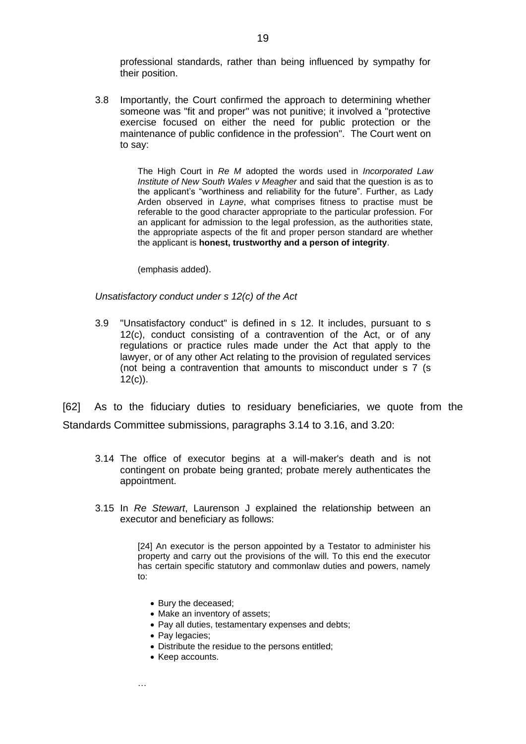professional standards, rather than being influenced by sympathy for their position.

3.8 Importantly, the Court confirmed the approach to determining whether someone was "fit and proper" was not punitive; it involved a "protective exercise focused on either the need for public protection or the maintenance of public confidence in the profession". The Court went on to say:

> The High Court in *Re M* adopted the words used in *Incorporated Law Institute of New South Wales v Meagher* and said that the question is as to the applicant's "worthiness and reliability for the future". Further, as Lady Arden observed in *Layne*, what comprises fitness to practise must be referable to the good character appropriate to the particular profession. For an applicant for admission to the legal profession, as the authorities state, the appropriate aspects of the fit and proper person standard are whether the applicant is **honest, trustworthy and a person of integrity**.

(emphasis added).

#### *Unsatisfactory conduct under s 12(c) of the Act*

3.9 "Unsatisfactory conduct" is defined in s 12. It includes, pursuant to s 12(c), conduct consisting of a contravention of the Act, or of any regulations or practice rules made under the Act that apply to the lawyer, or of any other Act relating to the provision of regulated services (not being a contravention that amounts to misconduct under s 7 (s 12(c)).

[62] As to the fiduciary duties to residuary beneficiaries, we quote from the Standards Committee submissions, paragraphs 3.14 to 3.16, and 3.20:

- 3.14 The office of executor begins at a will-maker's death and is not contingent on probate being granted; probate merely authenticates the appointment.
- 3.15 In *Re Stewart*, Laurenson J explained the relationship between an executor and beneficiary as follows:

[24] An executor is the person appointed by a Testator to administer his property and carry out the provisions of the will. To this end the executor has certain specific statutory and commonlaw duties and powers, namely to:

- Bury the deceased;
- Make an inventory of assets;
- Pay all duties, testamentary expenses and debts;
- Pay legacies;
- Distribute the residue to the persons entitled;
- Keep accounts.

…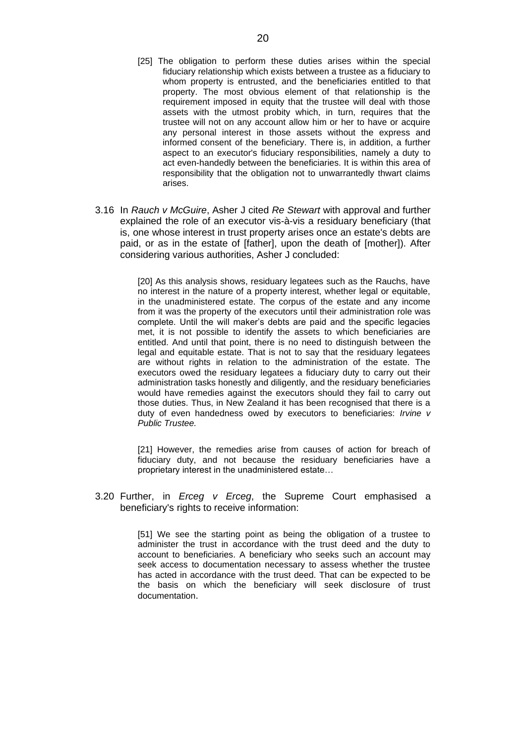- [25] The obligation to perform these duties arises within the special fiduciary relationship which exists between a trustee as a fiduciary to whom property is entrusted, and the beneficiaries entitled to that property. The most obvious element of that relationship is the requirement imposed in equity that the trustee will deal with those assets with the utmost probity which, in turn, requires that the trustee will not on any account allow him or her to have or acquire any personal interest in those assets without the express and informed consent of the beneficiary. There is, in addition, a further aspect to an executor's fiduciary responsibilities, namely a duty to act even-handedly between the beneficiaries. It is within this area of responsibility that the obligation not to unwarrantedly thwart claims arises.
- 3.16 In *Rauch v McGuire*, Asher J cited *Re Stewart* with approval and further explained the role of an executor vis-à-vis a residuary beneficiary (that is, one whose interest in trust property arises once an estate's debts are paid, or as in the estate of [father], upon the death of [mother]). After considering various authorities, Asher J concluded:

[20] As this analysis shows, residuary legatees such as the Rauchs, have no interest in the nature of a property interest, whether legal or equitable, in the unadministered estate. The corpus of the estate and any income from it was the property of the executors until their administration role was complete. Until the will maker's debts are paid and the specific legacies met, it is not possible to identify the assets to which beneficiaries are entitled. And until that point, there is no need to distinguish between the legal and equitable estate. That is not to say that the residuary legatees are without rights in relation to the administration of the estate. The executors owed the residuary legatees a fiduciary duty to carry out their administration tasks honestly and diligently, and the residuary beneficiaries would have remedies against the executors should they fail to carry out those duties. Thus, in New Zealand it has been recognised that there is a duty of even handedness owed by executors to beneficiaries: *Irvine v Public Trustee.*

[21] However, the remedies arise from causes of action for breach of fiduciary duty, and not because the residuary beneficiaries have a proprietary interest in the unadministered estate…

3.20 Further, in *Erceg v Erceg*, the Supreme Court emphasised a beneficiary's rights to receive information:

> [51] We see the starting point as being the obligation of a trustee to administer the trust in accordance with the trust deed and the duty to account to beneficiaries. A beneficiary who seeks such an account may seek access to documentation necessary to assess whether the trustee has acted in accordance with the trust deed. That can be expected to be the basis on which the beneficiary will seek disclosure of trust documentation.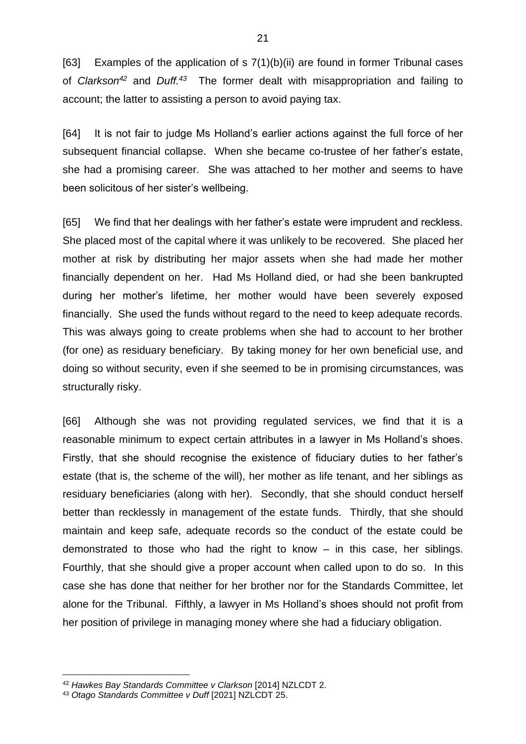[63] Examples of the application of s 7(1)(b)(ii) are found in former Tribunal cases of *Clarkson<sup>42</sup>* and *Duff.<sup>43</sup>* The former dealt with misappropriation and failing to account; the latter to assisting a person to avoid paying tax.

[64] It is not fair to judge Ms Holland's earlier actions against the full force of her subsequent financial collapse. When she became co-trustee of her father's estate, she had a promising career. She was attached to her mother and seems to have been solicitous of her sister's wellbeing.

[65] We find that her dealings with her father's estate were imprudent and reckless. She placed most of the capital where it was unlikely to be recovered. She placed her mother at risk by distributing her major assets when she had made her mother financially dependent on her. Had Ms Holland died, or had she been bankrupted during her mother's lifetime, her mother would have been severely exposed financially. She used the funds without regard to the need to keep adequate records. This was always going to create problems when she had to account to her brother (for one) as residuary beneficiary. By taking money for her own beneficial use, and doing so without security, even if she seemed to be in promising circumstances, was structurally risky.

[66] Although she was not providing regulated services, we find that it is a reasonable minimum to expect certain attributes in a lawyer in Ms Holland's shoes. Firstly, that she should recognise the existence of fiduciary duties to her father's estate (that is, the scheme of the will), her mother as life tenant, and her siblings as residuary beneficiaries (along with her). Secondly, that she should conduct herself better than recklessly in management of the estate funds. Thirdly, that she should maintain and keep safe, adequate records so the conduct of the estate could be demonstrated to those who had the right to know – in this case, her siblings. Fourthly, that she should give a proper account when called upon to do so. In this case she has done that neither for her brother nor for the Standards Committee, let alone for the Tribunal. Fifthly, a lawyer in Ms Holland's shoes should not profit from her position of privilege in managing money where she had a fiduciary obligation.

<sup>42</sup> *Hawkes Bay Standards Committee v Clarkson* [2014] NZLCDT 2.

<sup>43</sup> *Otago Standards Committee v Duff* [2021] NZLCDT 25.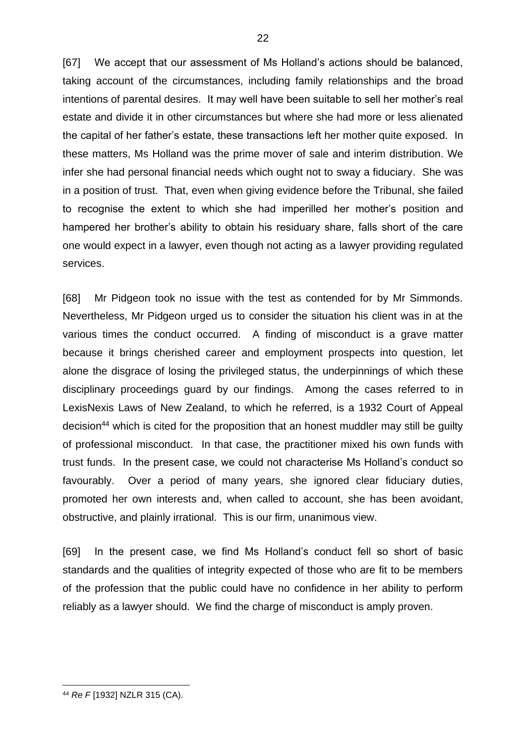[67] We accept that our assessment of Ms Holland's actions should be balanced, taking account of the circumstances, including family relationships and the broad intentions of parental desires. It may well have been suitable to sell her mother's real estate and divide it in other circumstances but where she had more or less alienated the capital of her father's estate, these transactions left her mother quite exposed. In these matters, Ms Holland was the prime mover of sale and interim distribution. We infer she had personal financial needs which ought not to sway a fiduciary. She was in a position of trust. That, even when giving evidence before the Tribunal, she failed to recognise the extent to which she had imperilled her mother's position and hampered her brother's ability to obtain his residuary share, falls short of the care one would expect in a lawyer, even though not acting as a lawyer providing regulated services.

[68] Mr Pidgeon took no issue with the test as contended for by Mr Simmonds. Nevertheless, Mr Pidgeon urged us to consider the situation his client was in at the various times the conduct occurred. A finding of misconduct is a grave matter because it brings cherished career and employment prospects into question, let alone the disgrace of losing the privileged status, the underpinnings of which these disciplinary proceedings guard by our findings. Among the cases referred to in LexisNexis Laws of New Zealand, to which he referred, is a 1932 Court of Appeal decision<sup>44</sup> which is cited for the proposition that an honest muddler may still be guilty of professional misconduct. In that case, the practitioner mixed his own funds with trust funds. In the present case, we could not characterise Ms Holland's conduct so favourably. Over a period of many years, she ignored clear fiduciary duties, promoted her own interests and, when called to account, she has been avoidant, obstructive, and plainly irrational. This is our firm, unanimous view.

[69] In the present case, we find Ms Holland's conduct fell so short of basic standards and the qualities of integrity expected of those who are fit to be members of the profession that the public could have no confidence in her ability to perform reliably as a lawyer should. We find the charge of misconduct is amply proven.

<sup>44</sup> *Re F* [1932] NZLR 315 (CA).